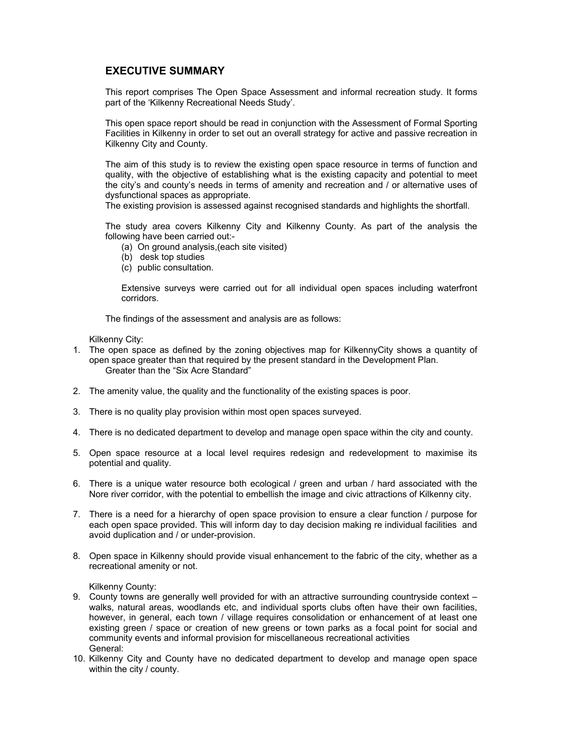# **EXECUTIVE SUMMARY**

This report comprises The Open Space Assessment and informal recreation study. It forms part of the 'Kilkenny Recreational Needs Study'.

This open space report should be read in conjunction with the Assessment of Formal Sporting Facilities in Kilkenny in order to set out an overall strategy for active and passive recreation in Kilkenny City and County.

The aim of this study is to review the existing open space resource in terms of function and quality, with the objective of establishing what is the existing capacity and potential to meet the city's and county's needs in terms of amenity and recreation and / or alternative uses of dysfunctional spaces as appropriate.

The existing provision is assessed against recognised standards and highlights the shortfall.

The study area covers Kilkenny City and Kilkenny County. As part of the analysis the following have been carried out:-

- (a) On ground analysis,(each site visited)
- (b) desk top studies
- (c) public consultation.

Extensive surveys were carried out for all individual open spaces including waterfront corridors.

The findings of the assessment and analysis are as follows:

Kilkenny City:

- 1. The open space as defined by the zoning objectives map for KilkennyCity shows a quantity of open space greater than that required by the present standard in the Development Plan. Greater than the "Six Acre Standard"
- 2. The amenity value, the quality and the functionality of the existing spaces is poor.
- 3. There is no quality play provision within most open spaces surveyed.
- 4. There is no dedicated department to develop and manage open space within the city and county.
- 5. Open space resource at a local level requires redesign and redevelopment to maximise its potential and quality.
- 6. There is a unique water resource both ecological / green and urban / hard associated with the Nore river corridor, with the potential to embellish the image and civic attractions of Kilkenny city.
- 7. There is a need for a hierarchy of open space provision to ensure a clear function / purpose for each open space provided. This will inform day to day decision making re individual facilities and avoid duplication and / or under-provision.
- 8. Open space in Kilkenny should provide visual enhancement to the fabric of the city, whether as a recreational amenity or not.

Kilkenny County:

- 9. County towns are generally well provided for with an attractive surrounding countryside context walks, natural areas, woodlands etc, and individual sports clubs often have their own facilities, however, in general, each town / village requires consolidation or enhancement of at least one existing green / space or creation of new greens or town parks as a focal point for social and community events and informal provision for miscellaneous recreational activities General:
- 10. Kilkenny City and County have no dedicated department to develop and manage open space within the city / county.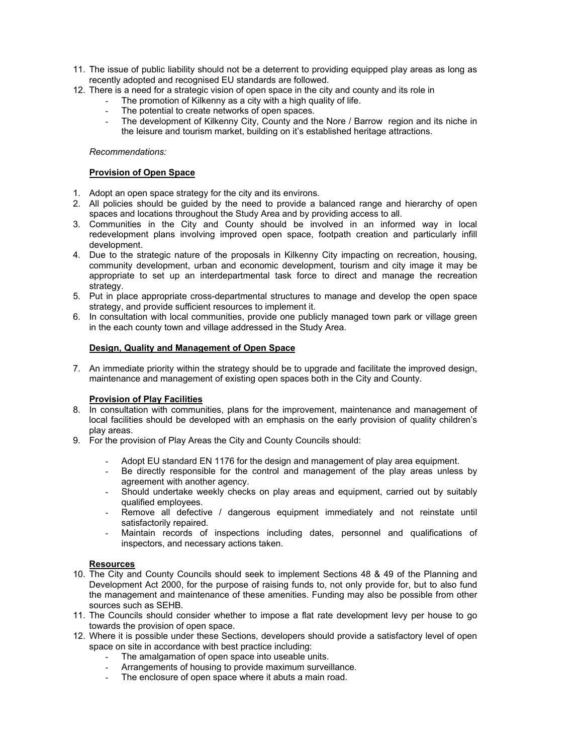- 11. The issue of public liability should not be a deterrent to providing equipped play areas as long as recently adopted and recognised EU standards are followed.
- 12. There is a need for a strategic vision of open space in the city and county and its role in
	- The promotion of Kilkenny as a city with a high quality of life.
		- The potential to create networks of open spaces.
		- The development of Kilkenny City, County and the Nore / Barrow region and its niche in the leisure and tourism market, building on it's established heritage attractions.

### *Recommendations:*

#### **Provision of Open Space**

- 1. Adopt an open space strategy for the city and its environs.
- 2. All policies should be guided by the need to provide a balanced range and hierarchy of open spaces and locations throughout the Study Area and by providing access to all.
- 3. Communities in the City and County should be involved in an informed way in local redevelopment plans involving improved open space, footpath creation and particularly infill development.
- 4. Due to the strategic nature of the proposals in Kilkenny City impacting on recreation, housing, community development, urban and economic development, tourism and city image it may be appropriate to set up an interdepartmental task force to direct and manage the recreation strategy.
- 5. Put in place appropriate cross-departmental structures to manage and develop the open space strategy, and provide sufficient resources to implement it.
- 6. In consultation with local communities, provide one publicly managed town park or village green in the each county town and village addressed in the Study Area.

# **Design, Quality and Management of Open Space**

7. An immediate priority within the strategy should be to upgrade and facilitate the improved design, maintenance and management of existing open spaces both in the City and County.

# **Provision of Play Facilities**

- 8. In consultation with communities, plans for the improvement, maintenance and management of local facilities should be developed with an emphasis on the early provision of quality children's play areas.
- 9. For the provision of Play Areas the City and County Councils should:
	- Adopt EU standard EN 1176 for the design and management of play area equipment.
	- Be directly responsible for the control and management of the play areas unless by agreement with another agency.
	- Should undertake weekly checks on play areas and equipment, carried out by suitably qualified employees.
	- Remove all defective / dangerous equipment immediately and not reinstate until satisfactorily repaired.
	- Maintain records of inspections including dates, personnel and qualifications of inspectors, and necessary actions taken.

#### **Resources**

- 10. The City and County Councils should seek to implement Sections 48 & 49 of the Planning and Development Act 2000, for the purpose of raising funds to, not only provide for, but to also fund the management and maintenance of these amenities. Funding may also be possible from other sources such as SEHB.
- 11. The Councils should consider whether to impose a flat rate development levy per house to go towards the provision of open space.
- 12. Where it is possible under these Sections, developers should provide a satisfactory level of open space on site in accordance with best practice including:
	- The amalgamation of open space into useable units.
	- Arrangements of housing to provide maximum surveillance.
	- The enclosure of open space where it abuts a main road.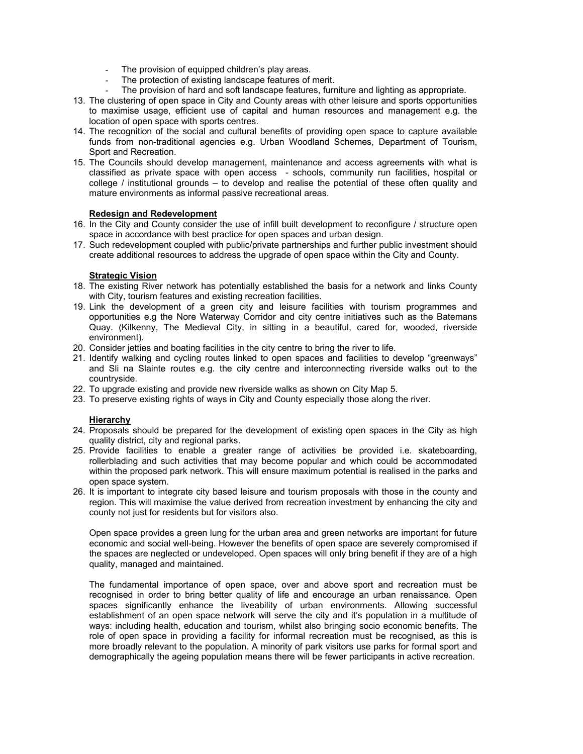- The provision of equipped children's play areas.
- The protection of existing landscape features of merit.
- The provision of hard and soft landscape features, furniture and lighting as appropriate.
- 13. The clustering of open space in City and County areas with other leisure and sports opportunities to maximise usage, efficient use of capital and human resources and management e.g. the location of open space with sports centres.
- 14. The recognition of the social and cultural benefits of providing open space to capture available funds from non-traditional agencies e.g. Urban Woodland Schemes, Department of Tourism, Sport and Recreation.
- 15. The Councils should develop management, maintenance and access agreements with what is classified as private space with open access - schools, community run facilities, hospital or college / institutional grounds – to develop and realise the potential of these often quality and mature environments as informal passive recreational areas.

#### **Redesign and Redevelopment**

- 16. In the City and County consider the use of infill built development to reconfigure / structure open space in accordance with best practice for open spaces and urban design.
- 17. Such redevelopment coupled with public/private partnerships and further public investment should create additional resources to address the upgrade of open space within the City and County.

#### **Strategic Vision**

- 18. The existing River network has potentially established the basis for a network and links County with City, tourism features and existing recreation facilities.
- 19. Link the development of a green city and leisure facilities with tourism programmes and opportunities e.g the Nore Waterway Corridor and city centre initiatives such as the Batemans Quay. (Kilkenny, The Medieval City, in sitting in a beautiful, cared for, wooded, riverside environment).
- 20. Consider jetties and boating facilities in the city centre to bring the river to life.
- 21. Identify walking and cycling routes linked to open spaces and facilities to develop "greenways" and Sli na Slainte routes e.g. the city centre and interconnecting riverside walks out to the countryside.
- 22. To upgrade existing and provide new riverside walks as shown on City Map 5.
- 23. To preserve existing rights of ways in City and County especially those along the river.

# **Hierarchy**

- 24. Proposals should be prepared for the development of existing open spaces in the City as high quality district, city and regional parks.
- 25. Provide facilities to enable a greater range of activities be provided i.e. skateboarding, rollerblading and such activities that may become popular and which could be accommodated within the proposed park network. This will ensure maximum potential is realised in the parks and open space system.
- 26. It is important to integrate city based leisure and tourism proposals with those in the county and region. This will maximise the value derived from recreation investment by enhancing the city and county not just for residents but for visitors also.

Open space provides a green lung for the urban area and green networks are important for future economic and social well-being. However the benefits of open space are severely compromised if the spaces are neglected or undeveloped. Open spaces will only bring benefit if they are of a high quality, managed and maintained.

The fundamental importance of open space, over and above sport and recreation must be recognised in order to bring better quality of life and encourage an urban renaissance. Open spaces significantly enhance the liveability of urban environments. Allowing successful establishment of an open space network will serve the city and it's population in a multitude of ways: including health, education and tourism, whilst also bringing socio economic benefits. The role of open space in providing a facility for informal recreation must be recognised, as this is more broadly relevant to the population. A minority of park visitors use parks for formal sport and demographically the ageing population means there will be fewer participants in active recreation.